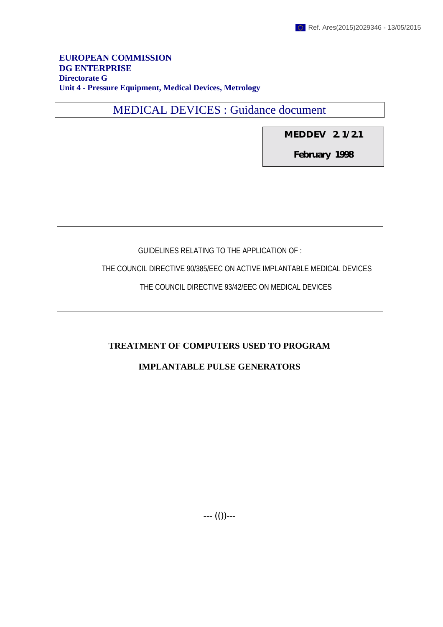### **EUROPEAN COMMISSION DG ENTERPRISE Directorate G Unit 4 - Pressure Equipment, Medical Devices, Metrology**

MEDICAL DEVICES : Guidance document

**MEDDEV 2. 1/ 2.1**

**February 1998**

# GUIDELINES RELATING TO THE APPLICATION OF :

THE COUNCIL DIRECTIVE 90/385/EEC ON ACTIVE IMPLANTABLE MEDICAL DEVICES

THE COUNCIL DIRECTIVE 93/42/EEC ON MEDICAL DEVICES

# **TREATMENT OF COMPUTERS USED TO PROGRAM**

# **IMPLANTABLE PULSE GENERATORS**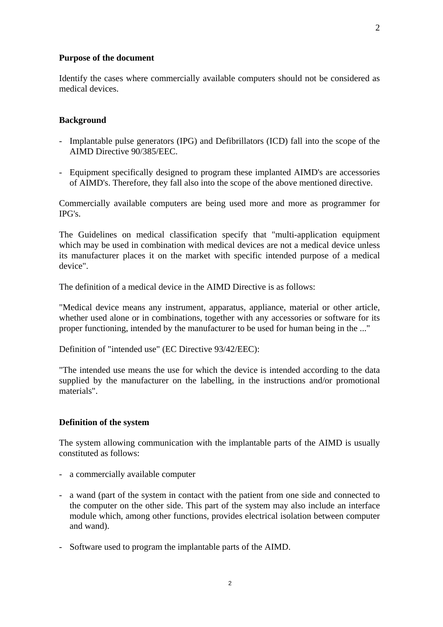#### **Purpose of the document**

Identify the cases where commercially available computers should not be considered as medical devices.

#### **Background**

- Implantable pulse generators (IPG) and Defibrillators (ICD) fall into the scope of the AIMD Directive 90/385/EEC.
- Equipment specifically designed to program these implanted AIMD's are accessories of AIMD's. Therefore, they fall also into the scope of the above mentioned directive.

Commercially available computers are being used more and more as programmer for IPG's.

The Guidelines on medical classification specify that "multi-application equipment which may be used in combination with medical devices are not a medical device unless its manufacturer places it on the market with specific intended purpose of a medical device".

The definition of a medical device in the AIMD Directive is as follows:

"Medical device means any instrument, apparatus, appliance, material or other article, whether used alone or in combinations, together with any accessories or software for its proper functioning, intended by the manufacturer to be used for human being in the ..."

Definition of "intended use" (EC Directive 93/42/EEC):

"The intended use means the use for which the device is intended according to the data supplied by the manufacturer on the labelling, in the instructions and/or promotional materials".

#### **Definition of the system**

The system allowing communication with the implantable parts of the AIMD is usually constituted as follows:

- a commercially available computer
- a wand (part of the system in contact with the patient from one side and connected to the computer on the other side. This part of the system may also include an interface module which, among other functions, provides electrical isolation between computer and wand).
- Software used to program the implantable parts of the AIMD.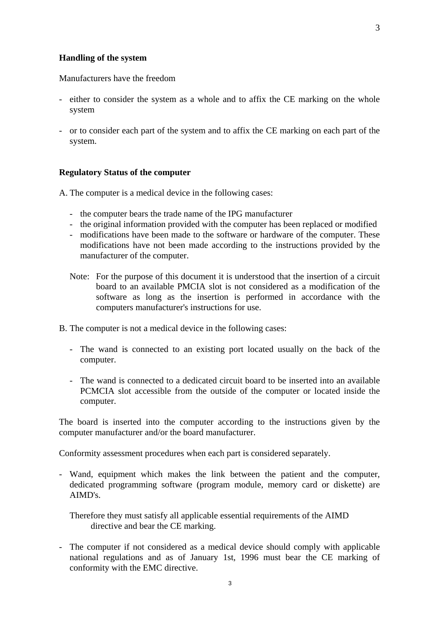#### **Handling of the system**

Manufacturers have the freedom

- either to consider the system as a whole and to affix the CE marking on the whole system
- or to consider each part of the system and to affix the CE marking on each part of the system.

### **Regulatory Status of the computer**

A. The computer is a medical device in the following cases:

- the computer bears the trade name of the IPG manufacturer
- the original information provided with the computer has been replaced or modified
- modifications have been made to the software or hardware of the computer. These modifications have not been made according to the instructions provided by the manufacturer of the computer.
- Note: For the purpose of this document it is understood that the insertion of a circuit board to an available PMCIA slot is not considered as a modification of the software as long as the insertion is performed in accordance with the computers manufacturer's instructions for use.
- B. The computer is not a medical device in the following cases:
	- The wand is connected to an existing port located usually on the back of the computer.
	- The wand is connected to a dedicated circuit board to be inserted into an available PCMCIA slot accessible from the outside of the computer or located inside the computer.

The board is inserted into the computer according to the instructions given by the computer manufacturer and/or the board manufacturer.

Conformity assessment procedures when each part is considered separately.

- Wand, equipment which makes the link between the patient and the computer, dedicated programming software (program module, memory card or diskette) are AIMD's.
	- Therefore they must satisfy all applicable essential requirements of the AIMD directive and bear the CE marking.
- The computer if not considered as a medical device should comply with applicable national regulations and as of January 1st, 1996 must bear the CE marking of conformity with the EMC directive.